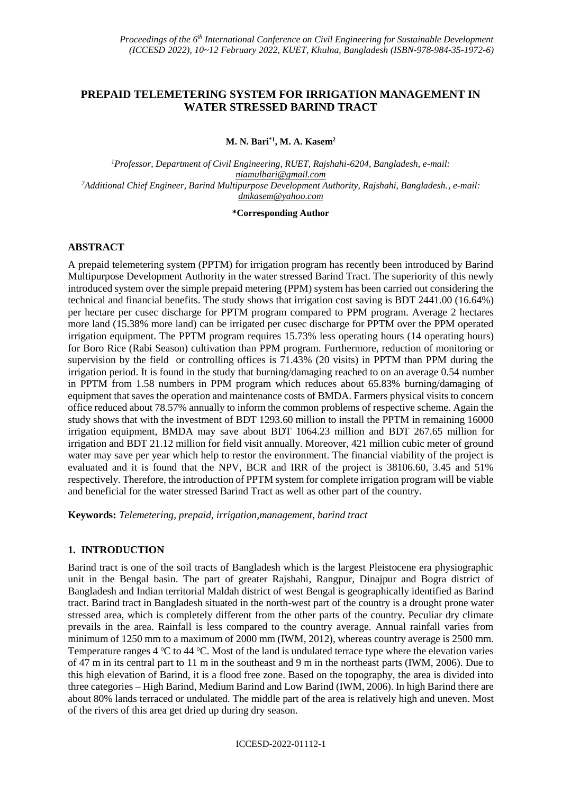# **PREPAID TELEMETERING SYSTEM FOR IRRIGATION MANAGEMENT IN WATER STRESSED BARIND TRACT**

**M. N. Bari\*1, M. A. Kasem<sup>2</sup>**

*<sup>1</sup>Professor, Department of Civil Engineering, RUET, Rajshahi-6204, Bangladesh, e-mail: niamulbari@gmail.com <sup>2</sup>Additional Chief Engineer, Barind Multipurpose Development Authority, Rajshahi, Bangladesh., e-mail: [dmkasem@yahoo.com](mailto:dmkasem@yahoo.com)*

#### **\*Corresponding Author**

#### **ABSTRACT**

A prepaid telemetering system (PPTM) for irrigation program has recently been introduced by Barind Multipurpose Development Authority in the water stressed Barind Tract. The superiority of this newly introduced system over the simple prepaid metering (PPM) system has been carried out considering the technical and financial benefits. The study shows that irrigation cost saving is BDT 2441.00 (16.64%) per hectare per cusec discharge for PPTM program compared to PPM program. Average 2 hectares more land (15.38% more land) can be irrigated per cusec discharge for PPTM over the PPM operated irrigation equipment. The PPTM program requires 15.73% less operating hours (14 operating hours) for Boro Rice (Rabi Season) cultivation than PPM program. Furthermore, reduction of monitoring or supervision by the field or controlling offices is 71.43% (20 visits) in PPTM than PPM during the irrigation period. It is found in the study that burning/damaging reached to on an average 0.54 number in PPTM from 1.58 numbers in PPM program which reduces about 65.83% burning/damaging of equipment that saves the operation and maintenance costs of BMDA. Farmers physical visits to concern office reduced about 78.57% annually to inform the common problems of respective scheme. Again the study shows that with the investment of BDT 1293.60 million to install the PPTM in remaining 16000 irrigation equipment, BMDA may save about BDT 1064.23 million and BDT 267.65 million for irrigation and BDT 21.12 million for field visit annually. Moreover, 421 million cubic meter of ground water may save per year which help to restor the environment. The financial viability of the project is evaluated and it is found that the NPV, BCR and IRR of the project is 38106.60, 3.45 and 51% respectively. Therefore, the introduction of PPTM system for complete irrigation program will be viable and beneficial for the water stressed Barind Tract as well as other part of the country.

**Keywords:** *Telemetering, prepaid, irrigation,management, barind tract*

#### **1. INTRODUCTION**

Barind tract is one of the soil tracts of Bangladesh which is the largest Pleistocene era physiographic unit in the Bengal basin. The part of greater Rajshahi, Rangpur, Dinajpur and Bogra district of Bangladesh and Indian territorial Maldah district of west Bengal is geographically identified as Barind tract. Barind tract in Bangladesh situated in the north-west part of the country is a drought prone water stressed area, which is completely different from the other parts of the country. Peculiar dry climate prevails in the area. Rainfall is less compared to the country average. Annual rainfall varies from minimum of 1250 mm to a maximum of 2000 mm (IWM, 2012), whereas country average is 2500 mm. Temperature ranges 4  $\degree$ C to 44  $\degree$ C. Most of the land is undulated terrace type where the elevation varies of 47 m in its central part to 11 m in the southeast and 9 m in the northeast parts (IWM, 2006). Due to this high elevation of Barind, it is a flood free zone. Based on the topography, the area is divided into three categories – High Barind, Medium Barind and Low Barind (IWM, 2006). In high Barind there are about 80% lands terraced or undulated. The middle part of the area is relatively high and uneven. Most of the rivers of this area get dried up during dry season.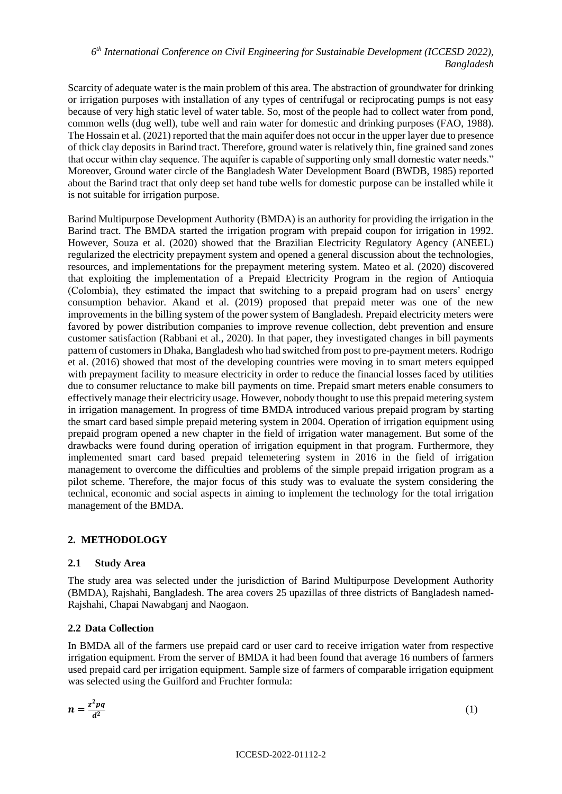Scarcity of adequate water is the main problem of this area. The abstraction of groundwater for drinking or irrigation purposes with installation of any types of centrifugal or reciprocating pumps is not easy because of very high static level of water table. So, most of the people had to collect water from pond, common wells (dug well), tube well and rain water for domestic and drinking purposes (FAO, 1988). The Hossain et al. (2021) reported that the main aquifer does not occur in the upper layer due to presence of thick clay deposits in Barind tract. Therefore, ground water is relatively thin, fine grained sand zones that occur within clay sequence. The aquifer is capable of supporting only small domestic water needs." Moreover, Ground water circle of the Bangladesh Water Development Board (BWDB, 1985) reported about the Barind tract that only deep set hand tube wells for domestic purpose can be installed while it is not suitable for irrigation purpose.

Barind Multipurpose Development Authority (BMDA) is an authority for providing the irrigation in the Barind tract. The BMDA started the irrigation program with prepaid coupon for irrigation in 1992. However, Souza et al. (2020) showed that the Brazilian Electricity Regulatory Agency (ANEEL) regularized the electricity prepayment system and opened a general discussion about the technologies, resources, and implementations for the prepayment metering system. [Mateo et al.](https://www.sciencedirect.com/science/article/abs/pii/S1040619020301160#!) (2020) discovered that exploiting the implementation of a Prepaid Electricity Program in the region of Antioquia (Colombia), they estimated the impact that switching to a prepaid program had on users' energy consumption behavior. Akand et al. (2019) proposed that prepaid meter was one of the new improvements in the billing system of the power system of Bangladesh. Prepaid electricity meters were favored by power distribution companies to improve revenue collection, debt prevention and ensure customer satisfaction (Rabbani et al., 2020). In that paper, they investigated changes in bill payments pattern of customers in Dhaka, Bangladesh who had switched from post to pre-payment meters. Rodrigo et al. (2016) showed that most of the developing countries were moving in to smart meters equipped with prepayment facility to measure electricity in order to reduce the financial losses faced by utilities due to consumer reluctance to make bill payments on time. Prepaid smart meters enable consumers to effectively manage their electricity usage. However, nobody thought to use this prepaid metering system in irrigation management. In progress of time BMDA introduced various prepaid program by starting the smart card based simple prepaid metering system in 2004. Operation of irrigation equipment using prepaid program opened a new chapter in the field of irrigation water management. But some of the drawbacks were found during operation of irrigation equipment in that program. Furthermore, they implemented smart card based prepaid telemetering system in 2016 in the field of irrigation management to overcome the difficulties and problems of the simple prepaid irrigation program as a pilot scheme. Therefore, the major focus of this study was to evaluate the system considering the technical, economic and social aspects in aiming to implement the technology for the total irrigation management of the BMDA.

# **2. METHODOLOGY**

# **2.1 Study Area**

The study area was selected under the jurisdiction of Barind Multipurpose Development Authority (BMDA), Rajshahi, Bangladesh. The area covers 25 upazillas of three districts of Bangladesh named-Rajshahi, Chapai Nawabganj and Naogaon.

# **2.2 Data Collection**

In BMDA all of the farmers use prepaid card or user card to receive irrigation water from respective irrigation equipment. From the server of BMDA it had been found that average 16 numbers of farmers used prepaid card per irrigation equipment. Sample size of farmers of comparable irrigation equipment was selected using the Guilford and Fruchter formula:

$$
n=\frac{z^2pq}{d^2}
$$

(1)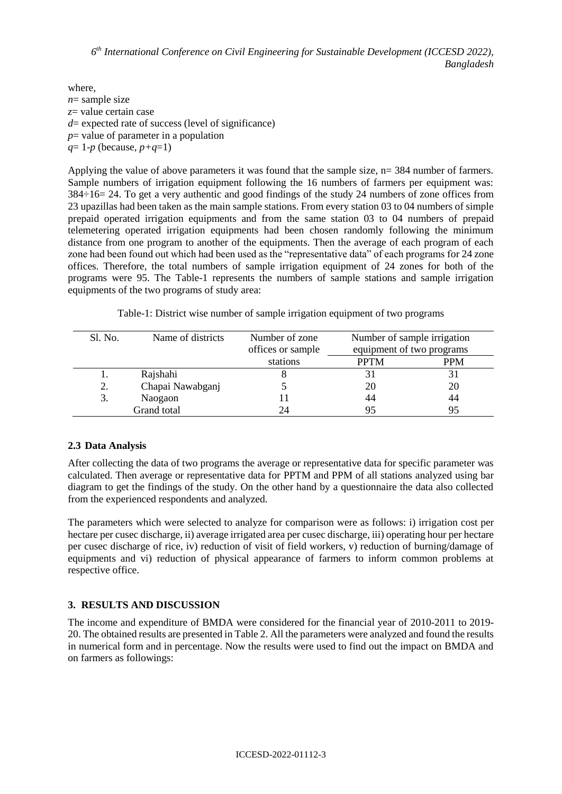where, *n*= sample size *z*= value certain case *d*= expected rate of success (level of significance) *p*= value of parameter in a population  $q=1-p$  (because,  $p+q=1$ )

Applying the value of above parameters it was found that the sample size,  $n= 384$  number of farmers. Sample numbers of irrigation equipment following the 16 numbers of farmers per equipment was: 384÷16= 24. To get a very authentic and good findings of the study 24 numbers of zone offices from 23 upazillas had been taken as the main sample stations. From every station 03 to 04 numbers of simple prepaid operated irrigation equipments and from the same station 03 to 04 numbers of prepaid telemetering operated irrigation equipments had been chosen randomly following the minimum distance from one program to another of the equipments. Then the average of each program of each zone had been found out which had been used as the "representative data" of each programs for 24 zone offices. Therefore, the total numbers of sample irrigation equipment of 24 zones for both of the programs were 95. The Table-1 represents the numbers of sample stations and sample irrigation equipments of the two programs of study area:

| Sl. No. | Name of districts | Number of zone    |                           | Number of sample irrigation |  |  |
|---------|-------------------|-------------------|---------------------------|-----------------------------|--|--|
|         |                   | offices or sample | equipment of two programs |                             |  |  |
|         |                   | stations          | <b>PPTM</b>               | PPM                         |  |  |
|         | Rajshahi          |                   |                           |                             |  |  |
|         | Chapai Nawabganj  |                   | 20                        | 20                          |  |  |
| 3.      | Naogaon           |                   | 44                        | 44                          |  |  |
|         | Grand total       | 24                | 95                        | 95                          |  |  |

# **2.3 Data Analysis**

After collecting the data of two programs the average or representative data for specific parameter was calculated. Then average or representative data for PPTM and PPM of all stations analyzed using bar diagram to get the findings of the study. On the other hand by a questionnaire the data also collected from the experienced respondents and analyzed.

The parameters which were selected to analyze for comparison were as follows: i) irrigation cost per hectare per cusec discharge, ii) average irrigated area per cusec discharge, iii) operating hour per hectare per cusec discharge of rice, iv) reduction of visit of field workers, v) reduction of burning/damage of equipments and vi) reduction of physical appearance of farmers to inform common problems at respective office.

# **3. RESULTS AND DISCUSSION**

The income and expenditure of BMDA were considered for the financial year of 2010-2011 to 2019- 20. The obtained results are presented in Table 2. All the parameters were analyzed and found the results in numerical form and in percentage. Now the results were used to find out the impact on BMDA and on farmers as followings: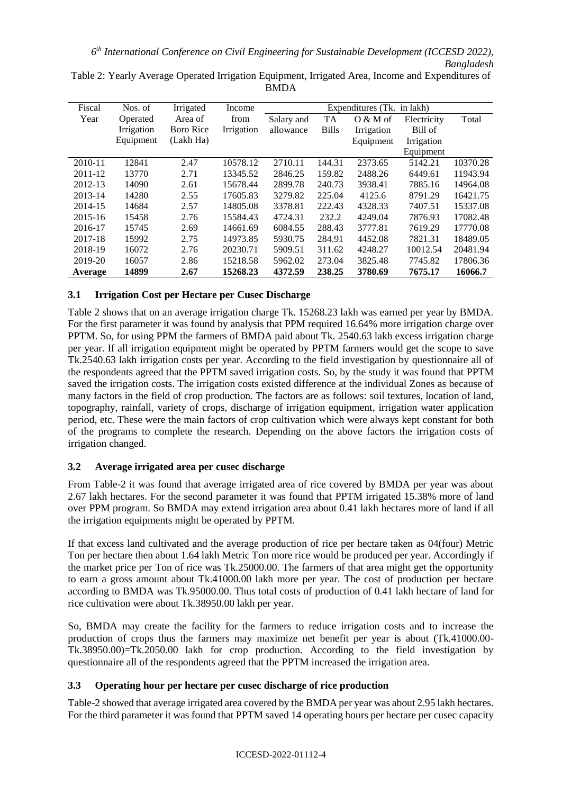| Fiscal  | Nos. of    | Irrigated        | Income     | Expenditures (Tk. in lakh) |              |            |             |          |
|---------|------------|------------------|------------|----------------------------|--------------|------------|-------------|----------|
| Year    | Operated   | Area of          | from       | Salary and                 | <b>TA</b>    | $O & M$ of | Electricity | Total    |
|         | Irrigation | <b>Boro Rice</b> | Irrigation | allowance                  | <b>Bills</b> | Irrigation | Bill of     |          |
|         | Equipment  | (Lakh Ha)        |            |                            |              | Equipment  | Irrigation  |          |
|         |            |                  |            |                            |              |            | Equipment   |          |
| 2010-11 | 12841      | 2.47             | 10578.12   | 2710.11                    | 144.31       | 2373.65    | 5142.21     | 10370.28 |
| 2011-12 | 13770      | 2.71             | 13345.52   | 2846.25                    | 159.82       | 2488.26    | 6449.61     | 11943.94 |
| 2012-13 | 14090      | 2.61             | 15678.44   | 2899.78                    | 240.73       | 3938.41    | 7885.16     | 14964.08 |
| 2013-14 | 14280      | 2.55             | 17605.83   | 3279.82                    | 225.04       | 4125.6     | 8791.29     | 16421.75 |
| 2014-15 | 14684      | 2.57             | 14805.08   | 3378.81                    | 222.43       | 4328.33    | 7407.51     | 15337.08 |
| 2015-16 | 15458      | 2.76             | 15584.43   | 4724.31                    | 232.2        | 4249.04    | 7876.93     | 17082.48 |
| 2016-17 | 15745      | 2.69             | 14661.69   | 6084.55                    | 288.43       | 3777.81    | 7619.29     | 17770.08 |
| 2017-18 | 15992      | 2.75             | 14973.85   | 5930.75                    | 284.91       | 4452.08    | 7821.31     | 18489.05 |
| 2018-19 | 16072      | 2.76             | 20230.71   | 5909.51                    | 311.62       | 4248.27    | 10012.54    | 20481.94 |
| 2019-20 | 16057      | 2.86             | 15218.58   | 5962.02                    | 273.04       | 3825.48    | 7745.82     | 17806.36 |
| Average | 14899      | 2.67             | 15268.23   | 4372.59                    | 238.25       | 3780.69    | 7675.17     | 16066.7  |

Table 2: Yearly Average Operated Irrigation Equipment, Irrigated Area, Income and Expenditures of BMDA

# **3.1 Irrigation Cost per Hectare per Cusec Discharge**

Table 2 shows that on an average irrigation charge Tk. 15268.23 lakh was earned per year by BMDA. For the first parameter it was found by analysis that PPM required 16.64% more irrigation charge over PPTM. So, for using PPM the farmers of BMDA paid about Tk. 2540.63 lakh excess irrigation charge per year. If all irrigation equipment might be operated by PPTM farmers would get the scope to save Tk.2540.63 lakh irrigation costs per year. According to the field investigation by questionnaire all of the respondents agreed that the PPTM saved irrigation costs. So, by the study it was found that PPTM saved the irrigation costs. The irrigation costs existed difference at the individual Zones as because of many factors in the field of crop production. The factors are as follows: soil textures, location of land, topography, rainfall, variety of crops, discharge of irrigation equipment, irrigation water application period, etc. These were the main factors of crop cultivation which were always kept constant for both of the programs to complete the research. Depending on the above factors the irrigation costs of irrigation changed.

# **3.2 Average irrigated area per cusec discharge**

From Table-2 it was found that average irrigated area of rice covered by BMDA per year was about 2.67 lakh hectares. For the second parameter it was found that PPTM irrigated 15.38% more of land over PPM program. So BMDA may extend irrigation area about 0.41 lakh hectares more of land if all the irrigation equipments might be operated by PPTM.

If that excess land cultivated and the average production of rice per hectare taken as 04(four) Metric Ton per hectare then about 1.64 lakh Metric Ton more rice would be produced per year. Accordingly if the market price per Ton of rice was Tk.25000.00. The farmers of that area might get the opportunity to earn a gross amount about Tk.41000.00 lakh more per year. The cost of production per hectare according to BMDA was Tk.95000.00. Thus total costs of production of 0.41 lakh hectare of land for rice cultivation were about Tk.38950.00 lakh per year.

So, BMDA may create the facility for the farmers to reduce irrigation costs and to increase the production of crops thus the farmers may maximize net benefit per year is about (Tk.41000.00- Tk.38950.00)=Tk.2050.00 lakh for crop production. According to the field investigation by questionnaire all of the respondents agreed that the PPTM increased the irrigation area.

# **3.3 Operating hour per hectare per cusec discharge of rice production**

Table-2 showed that average irrigated area covered by the BMDA per year was about 2.95 lakh hectares. For the third parameter it was found that PPTM saved 14 operating hours per hectare per cusec capacity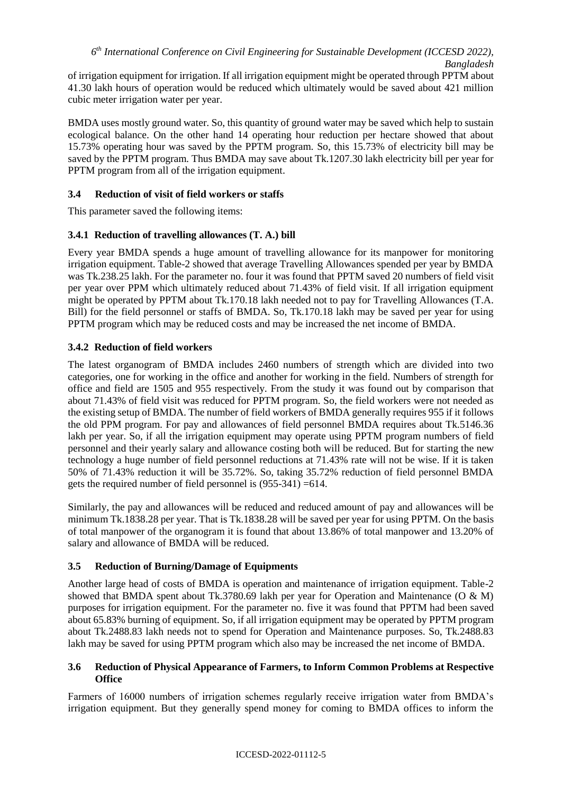of irrigation equipment for irrigation. If all irrigation equipment might be operated through PPTM about 41.30 lakh hours of operation would be reduced which ultimately would be saved about 421 million cubic meter irrigation water per year.

BMDA uses mostly ground water. So, this quantity of ground water may be saved which help to sustain ecological balance. On the other hand 14 operating hour reduction per hectare showed that about 15.73% operating hour was saved by the PPTM program. So, this 15.73% of electricity bill may be saved by the PPTM program. Thus BMDA may save about Tk.1207.30 lakh electricity bill per year for PPTM program from all of the irrigation equipment.

### **3.4 Reduction of visit of field workers or staffs**

This parameter saved the following items:

### **3.4.1 Reduction of travelling allowances (T. A.) bill**

Every year BMDA spends a huge amount of travelling allowance for its manpower for monitoring irrigation equipment. Table-2 showed that average Travelling Allowances spended per year by BMDA was Tk.238.25 lakh. For the parameter no. four it was found that PPTM saved 20 numbers of field visit per year over PPM which ultimately reduced about 71.43% of field visit. If all irrigation equipment might be operated by PPTM about Tk.170.18 lakh needed not to pay for Travelling Allowances (T.A. Bill) for the field personnel or staffs of BMDA. So, Tk.170.18 lakh may be saved per year for using PPTM program which may be reduced costs and may be increased the net income of BMDA.

### **3.4.2 Reduction of field workers**

The latest organogram of BMDA includes 2460 numbers of strength which are divided into two categories, one for working in the office and another for working in the field. Numbers of strength for office and field are 1505 and 955 respectively. From the study it was found out by comparison that about 71.43% of field visit was reduced for PPTM program. So, the field workers were not needed as the existing setup of BMDA. The number of field workers of BMDA generally requires 955 if it follows the old PPM program. For pay and allowances of field personnel BMDA requires about Tk.5146.36 lakh per year. So, if all the irrigation equipment may operate using PPTM program numbers of field personnel and their yearly salary and allowance costing both will be reduced. But for starting the new technology a huge number of field personnel reductions at 71.43% rate will not be wise. If it is taken 50% of 71.43% reduction it will be 35.72%. So, taking 35.72% reduction of field personnel BMDA gets the required number of field personnel is (955-341) =614.

Similarly, the pay and allowances will be reduced and reduced amount of pay and allowances will be minimum Tk.1838.28 per year. That is Tk.1838.28 will be saved per year for using PPTM. On the basis of total manpower of the organogram it is found that about 13.86% of total manpower and 13.20% of salary and allowance of BMDA will be reduced.

# **3.5 Reduction of Burning/Damage of Equipments**

Another large head of costs of BMDA is operation and maintenance of irrigation equipment. Table-2 showed that BMDA spent about Tk.3780.69 lakh per year for Operation and Maintenance (O & M) purposes for irrigation equipment. For the parameter no. five it was found that PPTM had been saved about 65.83% burning of equipment. So, if all irrigation equipment may be operated by PPTM program about Tk.2488.83 lakh needs not to spend for Operation and Maintenance purposes. So, Tk.2488.83 lakh may be saved for using PPTM program which also may be increased the net income of BMDA.

### **3.6 Reduction of Physical Appearance of Farmers, to Inform Common Problems at Respective Office**

Farmers of 16000 numbers of irrigation schemes regularly receive irrigation water from BMDA's irrigation equipment. But they generally spend money for coming to BMDA offices to inform the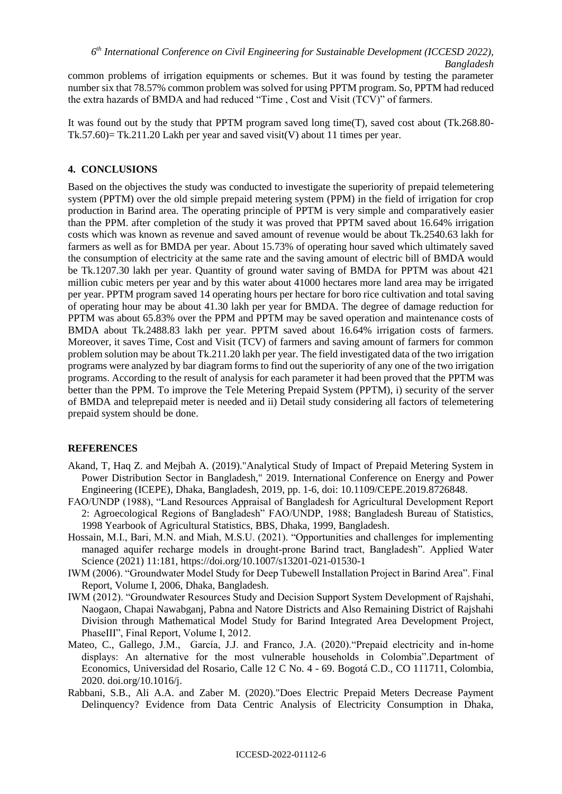common problems of irrigation equipments or schemes. But it was found by testing the parameter number six that 78.57% common problem was solved for using PPTM program. So, PPTM had reduced the extra hazards of BMDA and had reduced "Time , Cost and Visit (TCV)" of farmers.

It was found out by the study that PPTM program saved long time(T), saved cost about (Tk.268.80- Tk.57.60)= Tk.211.20 Lakh per year and saved visit(V) about 11 times per year.

### **4. CONCLUSIONS**

Based on the objectives the study was conducted to investigate the superiority of prepaid telemetering system (PPTM) over the old simple prepaid metering system (PPM) in the field of irrigation for crop production in Barind area. The operating principle of PPTM is very simple and comparatively easier than the PPM. after completion of the study it was proved that PPTM saved about 16.64% irrigation costs which was known as revenue and saved amount of revenue would be about Tk.2540.63 lakh for farmers as well as for BMDA per year. About 15.73% of operating hour saved which ultimately saved the consumption of electricity at the same rate and the saving amount of electric bill of BMDA would be Tk.1207.30 lakh per year. Quantity of ground water saving of BMDA for PPTM was about 421 million cubic meters per year and by this water about 41000 hectares more land area may be irrigated per year. PPTM program saved 14 operating hours per hectare for boro rice cultivation and total saving of operating hour may be about 41.30 lakh per year for BMDA. The degree of damage reduction for PPTM was about 65.83% over the PPM and PPTM may be saved operation and maintenance costs of BMDA about Tk.2488.83 lakh per year. PPTM saved about 16.64% irrigation costs of farmers. Moreover, it saves Time, Cost and Visit (TCV) of farmers and saving amount of farmers for common problem solution may be about Tk.211.20 lakh per year. The field investigated data of the two irrigation programs were analyzed by bar diagram forms to find out the superiority of any one of the two irrigation programs. According to the result of analysis for each parameter it had been proved that the PPTM was better than the PPM. To improve the Tele Metering Prepaid System (PPTM), i) security of the server of BMDA and teleprepaid meter is needed and ii) Detail study considering all factors of telemetering prepaid system should be done.

#### **REFERENCES**

- Akand, T, Haq Z. and Mejbah A. (2019)."Analytical Study of Impact of Prepaid Metering System in Power Distribution Sector in Bangladesh," 2019. International Conference on Energy and Power Engineering (ICEPE), Dhaka, Bangladesh, 2019, pp. 1-6, doi: 10.1109/CEPE.2019.8726848.
- FAO/UNDP (1988), "Land Resources Appraisal of Bangladesh for Agricultural Development Report 2: Agroecological Regions of Bangladesh" FAO/UNDP, 1988; Bangladesh Bureau of Statistics, 1998 Yearbook of Agricultural Statistics, BBS, Dhaka, 1999, Bangladesh.
- Hossain, M.I., Bari, M.N. and Miah, M.S.U. (2021). "Opportunities and challenges for implementing managed aquifer recharge models in drought-prone Barind tract, Bangladesh". Applied Water Science (2021) 11:181, https://doi.org/10.1007/s13201-021-01530-1
- IWM (2006). "Groundwater Model Study for Deep Tubewell Installation Project in Barind Area". Final Report, Volume I, 2006, Dhaka, Bangladesh.
- IWM (2012). "Groundwater Resources Study and Decision Support System Development of Rajshahi, Naogaon, Chapai Nawabganj, Pabna and Natore Districts and Also Remaining District of Rajshahi Division through Mathematical Model Study for Barind Integrated Area Development Project, PhaseIII", Final Report, Volume I, 2012.
- [Mateo, C.](https://www.sciencedirect.com/science/article/abs/pii/S1040619020301160#!), [Gallego,](https://www.sciencedirect.com/science/article/abs/pii/S1040619020301160#!) J.M., García, J.J. and Franco, J.A. (2020)."Prepaid electricity and in-home displays: An alternative for the most vulnerable households in Colombia".Department of Economics, Universidad del Rosario, Calle 12 C No. 4 - 69. Bogotá C.D., CO 111711, Colombia, 2020. [doi.org/10.1016/j.](https://doi.org/10.1016/j.tej.2020.106824)
- Rabbani, S.B., Ali A.A. and Zaber M. (2020)."Does Electric Prepaid Meters Decrease Payment Delinquency? Evidence from Data Centric Analysis of Electricity Consumption in Dhaka,